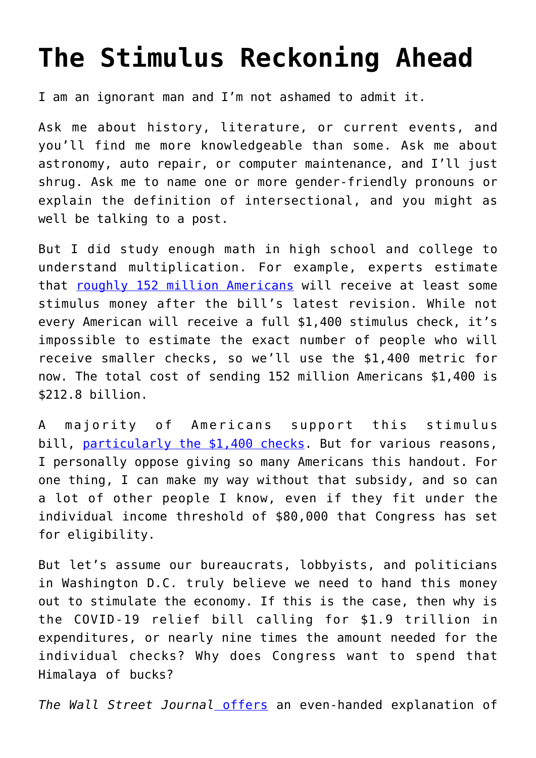## **[The Stimulus Reckoning Ahead](https://intellectualtakeout.org/2021/03/the-stimulus-reckoning-ahead/)**

I am an ignorant man and I'm not ashamed to admit it.

Ask me about history, literature, or current events, and you'll find me more knowledgeable than some. Ask me about astronomy, auto repair, or computer maintenance, and I'll just shrug. Ask me to name one or more gender-friendly pronouns or explain the definition of intersectional, and you might as well be talking to a post.

But I did study enough math in high school and college to understand multiplication. For example, experts estimate that [roughly 152 million Americans](https://www.cnbc.com/2021/03/03/fewer-americans-could-receive-those-1400-stimulus-checks-heres-why.html) will receive at least some stimulus money after the bill's latest revision. While not every American will receive a full \$1,400 stimulus check, it's impossible to estimate the exact number of people who will receive smaller checks, so we'll use the \$1,400 metric for now. The total cost of sending 152 million Americans \$1,400 is \$212.8 billion.

A majority of Americans support this stimulus bill, [particularly the \\$1,400 checks.](https://www.wionews.com/world/us-president-joe-biden-approval-rating-declines-in-two-months-367962) But for various reasons, I personally oppose giving so many Americans this handout. For one thing, I can make my way without that subsidy, and so can a lot of other people I know, even if they fit under the individual income threshold of \$80,000 that Congress has set for eligibility.

But let's assume our bureaucrats, lobbyists, and politicians in Washington D.C. truly believe we need to hand this money out to stimulate the economy. If this is the case, then why is the COVID-19 relief bill calling for \$1.9 trillion in expenditures, or nearly nine times the amount needed for the individual checks? Why does Congress want to spend that Himalaya of bucks?

*The Wall Street Journal* [offers](https://www.wsj.com/articles/stimulus-package-biden-covid-19-11614095748) an even-handed explanation of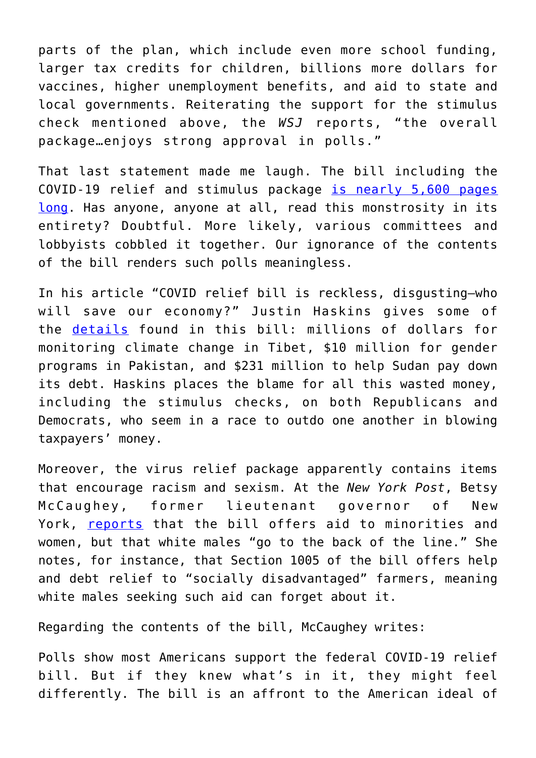parts of the plan, which include even more school funding, larger tax credits for children, billions more dollars for vaccines, higher unemployment benefits, and aid to state and local governments. Reiterating the support for the stimulus check mentioned above, the *WSJ* reports, "the overall package…enjoys strong approval in polls."

That last statement made me laugh. The bill including the COVID-19 relief and stimulus package [is nearly 5,600 pages](https://www.nytimes.com/2020/12/21/us/politics/coronavirus-stimulus-deal.html) [long.](https://www.nytimes.com/2020/12/21/us/politics/coronavirus-stimulus-deal.html) Has anyone, anyone at all, read this monstrosity in its entirety? Doubtful. More likely, various committees and lobbyists cobbled it together. Our ignorance of the contents of the bill renders such polls meaningless.

In his article "COVID relief bill is reckless, disgusting—who will save our economy?" Justin Haskins gives some of the [details](https://www.foxnews.com/opinion/covid-relief-bill-save-economy-justin-haskins) found in this bill: millions of dollars for monitoring climate change in Tibet, \$10 million for gender programs in Pakistan, and \$231 million to help Sudan pay down its debt. Haskins places the blame for all this wasted money, including the stimulus checks, on both Republicans and Democrats, who seem in a race to outdo one another in blowing taxpayers' money.

Moreover, the virus relief package apparently contains items that encourage racism and sexism. At the *New York Post*, Betsy McCaughey, former lieutenant governor of New York, [reports](https://nypost.com/2021/02/25/bidens-covid-relief-bill-is-chock-full-of-anti-white-reverse-racism/) that the bill offers aid to minorities and women, but that white males "go to the back of the line." She notes, for instance, that Section 1005 of the bill offers help and debt relief to "socially disadvantaged" farmers, meaning white males seeking such aid can forget about it.

Regarding the contents of the bill, McCaughey writes:

Polls show most Americans support the federal COVID-19 relief bill. But if they knew what's in it, they might feel differently. The bill is an affront to the American ideal of